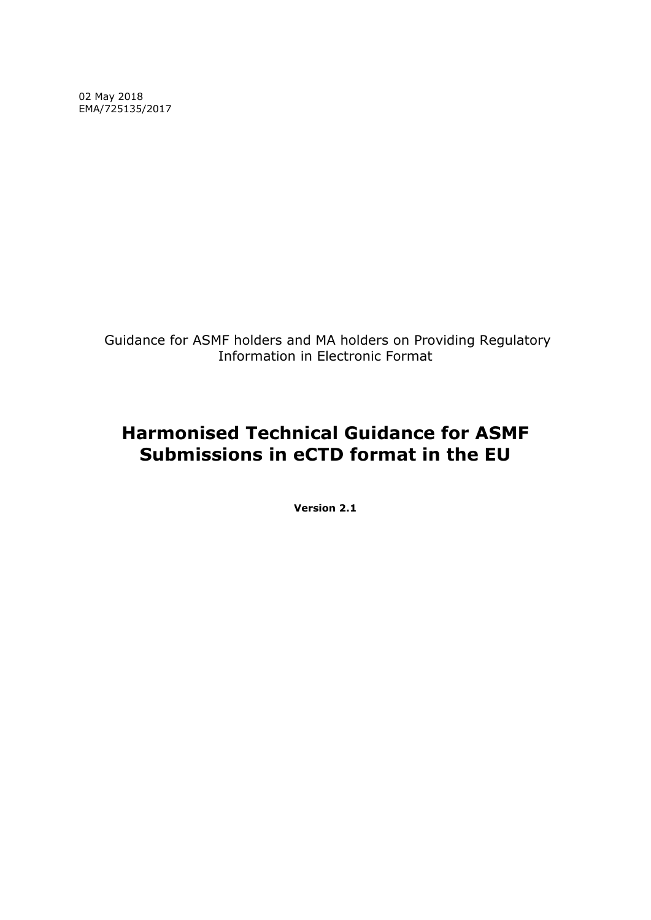02 May 2018 EMA/725135/2017

> Guidance for ASMF holders and MA holders on Providing Regulatory Information in Electronic Format

# **Harmonised Technical Guidance for ASMF Submissions in eCTD format in the EU**

**Version 2.1**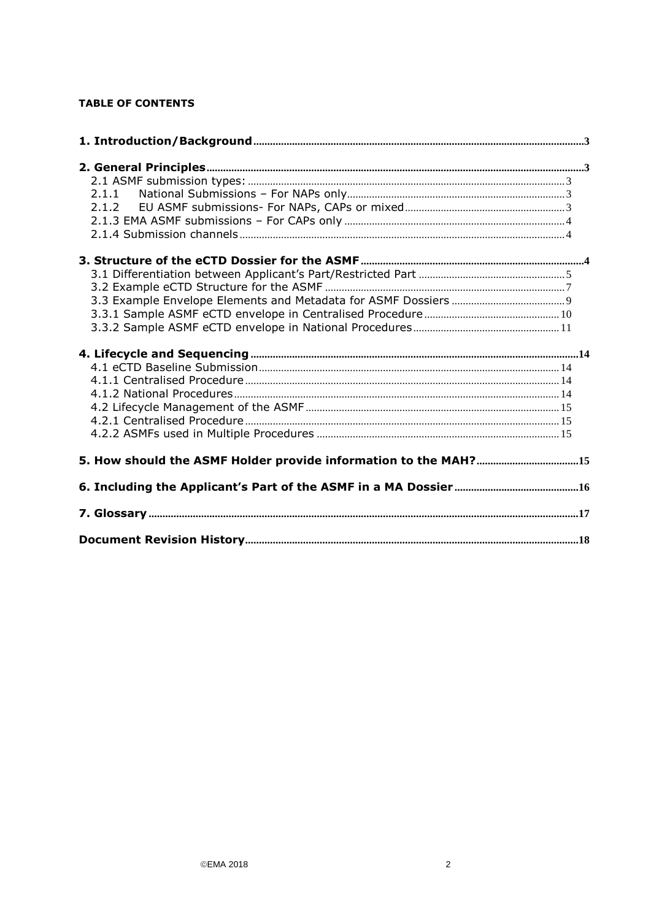## **TABLE OF CONTENTS**

| 5. How should the ASMF Holder provide information to the MAH?15 |  |
|-----------------------------------------------------------------|--|
|                                                                 |  |
|                                                                 |  |
|                                                                 |  |
|                                                                 |  |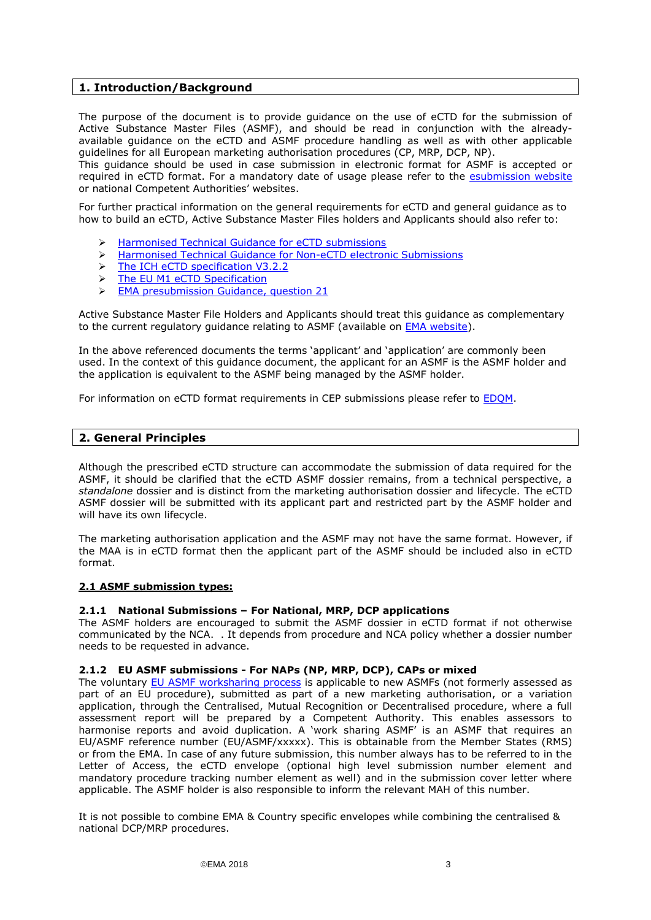### <span id="page-2-0"></span>**1. Introduction/Background**

The purpose of the document is to provide guidance on the use of eCTD for the submission of Active Substance Master Files (ASMF), and should be read in conjunction with the alreadyavailable guidance on the eCTD and ASMF procedure handling as well as with other applicable guidelines for all European marketing authorisation procedures (CP, MRP, DCP, NP).

This guidance should be used in case submission in electronic format for ASMF is accepted or required in eCTD format. For a mandatory date of usage please refer to the [esubmission website](http://esubmission.ema.europa.eu/) or national Competent Authorities' websites.

For further practical information on the general requirements for eCTD and general guidance as to how to build an eCTD, Active Substance Master Files holders and Applicants should also refer to:

- [Harmonised Technical Guidance for eCTD submissions](http://esubmission.ema.europa.eu/tiges/docs/eCTD%20Guidance%20v4%200-20160422-final.pdf)
- Harmonised [Technical Guidance for Non-eCTD electronic Submissions](http://esubmission.ema.europa.eu/tiges/docs/NeeS%20eGuidance%20Document%20v4%200_final%20for%20publication%20Nov%202013.pdf)
- > [The ICH eCTD specification](http://estri.ich.org/eCTD/index.htm) V3.2.2
- > [The EU M1 eCTD Specification](http://esubmission.ema.europa.eu/eumodule1/index.htm)
- [EMA presubmission Guidance, question 21](http://www.ema.europa.eu/ema/index.jsp?curl=pages/regulation/q_and_a/q_and_a_detail_000059.jsp&mid=WC0b01ac058002d9ad)

Active Substance Master File Holders and Applicants should treat this guidance as complementary to the current regulatory guidance relating to ASMF (available on **EMA** website).

In the above referenced documents the terms 'applicant' and 'application' are commonly been used. In the context of this guidance document, the applicant for an ASMF is the ASMF holder and the application is equivalent to the ASMF being managed by the ASMF holder.

For information on eCTD format requirements in CEP submissions please refer to [EDQM.](https://www.edqm.eu/medias/fichiers/cep_guidance_for_electronic_applications_paphcep_0.pdf)

### <span id="page-2-1"></span>**2. General Principles**

Although the prescribed eCTD structure can accommodate the submission of data required for the ASMF, it should be clarified that the eCTD ASMF dossier remains, from a technical perspective, a *standalone* dossier and is distinct from the marketing authorisation dossier and lifecycle. The eCTD ASMF dossier will be submitted with its applicant part and restricted part by the ASMF holder and will have its own lifecycle.

The marketing authorisation application and the ASMF may not have the same format. However, if the MAA is in eCTD format then the applicant part of the ASMF should be included also in eCTD format.

### <span id="page-2-2"></span>**2.1 ASMF submission types:**

### <span id="page-2-3"></span>**2.1.1 National Submissions – For National, MRP, DCP applications**

The ASMF holders are encouraged to submit the ASMF dossier in eCTD format if not otherwise communicated by the NCA. . It depends from procedure and NCA policy whether a dossier number needs to be requested in advance.

### <span id="page-2-4"></span>**2.1.2 EU ASMF submissions - For NAPs (NP, MRP, DCP), CAPs or mixed**

The voluntary [EU ASMF worksharing process](http://www.hma.eu/306.html) is applicable to new ASMFs (not formerly assessed as part of an EU procedure), submitted as part of a new marketing authorisation, or a variation application, through the Centralised, Mutual Recognition or Decentralised procedure, where a full assessment report will be prepared by a Competent Authority. This enables assessors to harmonise reports and avoid duplication. A 'work sharing ASMF' is an ASMF that requires an EU/ASMF reference number (EU/ASMF/xxxxx). This is obtainable from the Member States (RMS) or from the EMA. In case of any future submission, this number always has to be referred to in the Letter of Access, the eCTD envelope (optional high level submission number element and mandatory procedure tracking number element as well) and in the submission cover letter where applicable. The ASMF holder is also responsible to inform the relevant MAH of this number.

It is not possible to combine EMA & Country specific envelopes while combining the centralised & national DCP/MRP procedures.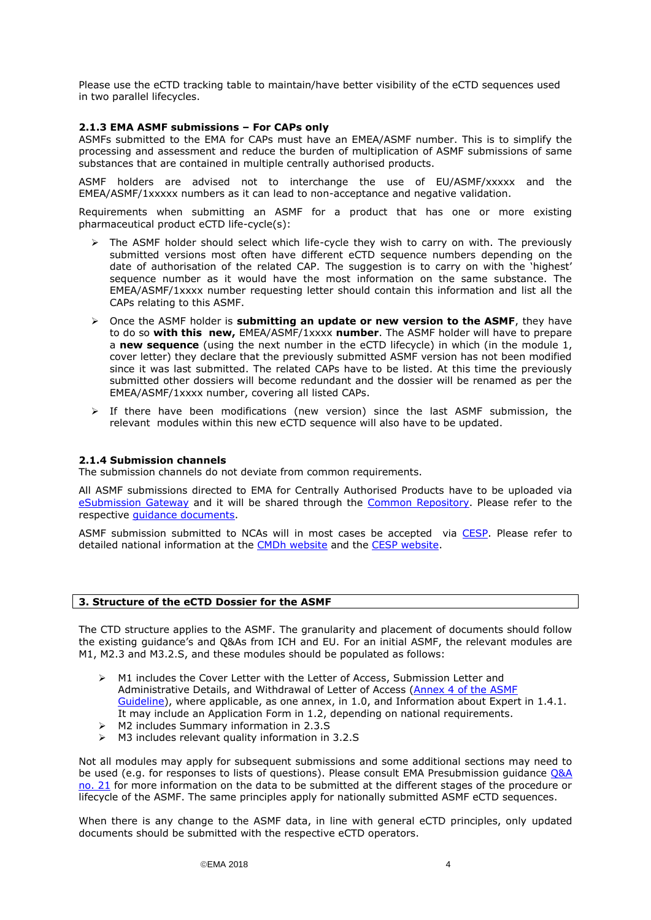Please use the eCTD tracking table to maintain/have better visibility of the eCTD sequences used in two parallel lifecycles.

### <span id="page-3-0"></span>**2.1.3 EMA ASMF submissions – For CAPs only**

ASMFs submitted to the EMA for CAPs must have an EMEA/ASMF number. This is to simplify the processing and assessment and reduce the burden of multiplication of ASMF submissions of same substances that are contained in multiple centrally authorised products.

ASMF holders are advised not to interchange the use of EU/ASMF/xxxxx and the EMEA/ASMF/1xxxxx numbers as it can lead to non-acceptance and negative validation.

Requirements when submitting an ASMF for a product that has one or more existing pharmaceutical product eCTD life-cycle(s):

- The ASMF holder should select which life-cycle they wish to carry on with. The previously submitted versions most often have different eCTD sequence numbers depending on the date of authorisation of the related CAP. The suggestion is to carry on with the 'highest' sequence number as it would have the most information on the same substance. The EMEA/ASMF/1xxxx number requesting letter should contain this information and list all the CAPs relating to this ASMF.
- Once the ASMF holder is **submitting an update or new version to the ASMF**, they have to do so **with this new,** EMEA/ASMF/1xxxx **number**. The ASMF holder will have to prepare a **new sequence** (using the next number in the eCTD lifecycle) in which (in the module 1, cover letter) they declare that the previously submitted ASMF version has not been modified since it was last submitted. The related CAPs have to be listed. At this time the previously submitted other dossiers will become redundant and the dossier will be renamed as per the EMEA/ASMF/1xxxx number, covering all listed CAPs.
- > If there have been modifications (new version) since the last ASMF submission, the relevant modules within this new eCTD sequence will also have to be updated.

### <span id="page-3-1"></span>**2.1.4 Submission channels**

The submission channels do not deviate from common requirements.

All ASMF submissions directed to EMA for Centrally Authorised Products have to be uploaded via [eSubmission Gateway](http://esubmission.ema.europa.eu/esubmission.html) and it will be shared through the [Common Repository.](http://esubmission.ema.europa.eu/central_repository.HTML) Please refer to the respective [guidance documents.](http://esubmission.ema.europa.eu/esubmission.html)

ASMF submission submitted to NCAs will in most cases be accepted via [CESP.](https://cespportal.hma.eu/Account/Login?ReturnUrl=%2f) Please refer to detailed national information at the [CMDh website](http://www.hma.eu/277.html) and the [CESP website.](https://cespportal.hma.eu/Public/Contacts)

### <span id="page-3-2"></span>**3. Structure of the eCTD Dossier for the ASMF**

The CTD structure applies to the ASMF. The granularity and placement of documents should follow the existing guidance's and Q&As from ICH and EU. For an initial ASMF, the relevant modules are M1, M2.3 and M3.2.S, and these modules should be populated as follows:

- M1 includes the Cover Letter with the Letter of Access, Submission Letter and Administrative Details, and Withdrawal of Letter of Access [\(Annex 4 of the ASMF](http://www.ema.europa.eu/docs/en_GB/document_library/Template_or_form/2012/07/WC500129998.doc)  [Guideline\)](http://www.ema.europa.eu/docs/en_GB/document_library/Template_or_form/2012/07/WC500129998.doc), where applicable, as one annex, in 1.0, and Information about Expert in 1.4.1. It may include an Application Form in 1.2, depending on national requirements.
- M2 includes Summary information in 2.3.S
- $\triangleright$  M3 includes relevant quality information in 3.2.S

Not all modules may apply for subsequent submissions and some additional sections may need to be used (e.g. for responses to lists of questions). Please consult EMA Presubmission guidance [Q&A](http://www.ema.europa.eu/ema/index.jsp?curl=pages/regulation/q_and_a/q_and_a_detail_000059.jsp&mid=WC0b01ac058002d9aad)  [no. 21](http://www.ema.europa.eu/ema/index.jsp?curl=pages/regulation/q_and_a/q_and_a_detail_000059.jsp&mid=WC0b01ac058002d9aad) for more information on the data to be submitted at the different stages of the procedure or lifecycle of the ASMF. The same principles apply for nationally submitted ASMF eCTD sequences.

When there is any change to the ASMF data, in line with general eCTD principles, only updated documents should be submitted with the respective eCTD operators.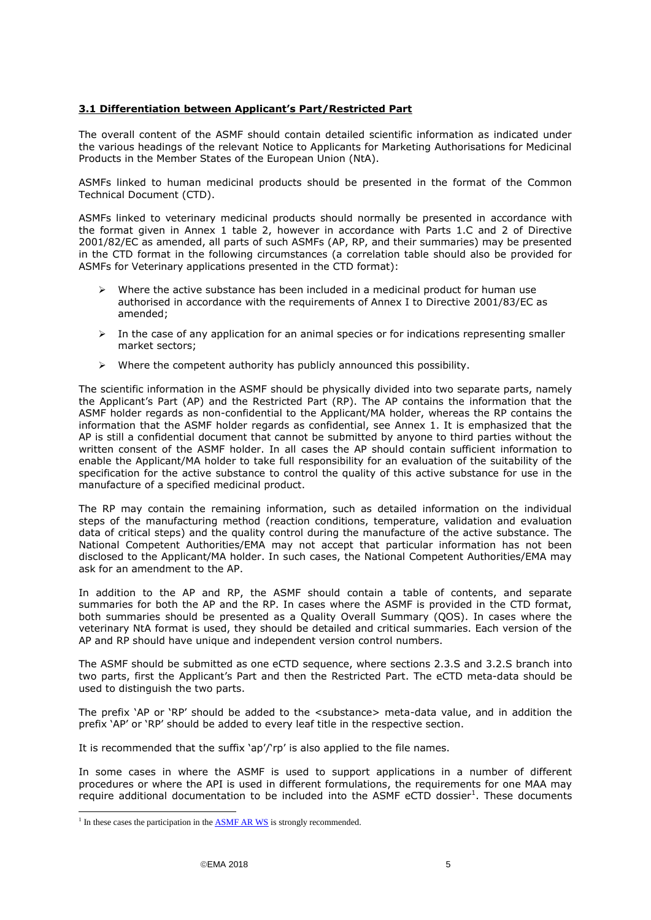### <span id="page-4-0"></span>**3.1 Differentiation between Applicant's Part/Restricted Part**

The overall content of the ASMF should contain detailed scientific information as indicated under the various headings of the relevant Notice to Applicants for Marketing Authorisations for Medicinal Products in the Member States of the European Union (NtA).

ASMFs linked to human medicinal products should be presented in the format of the Common Technical Document (CTD).

ASMFs linked to veterinary medicinal products should normally be presented in accordance with the format given in Annex 1 table 2, however in accordance with Parts 1.C and 2 of Directive 2001/82/EC as amended, all parts of such ASMFs (AP, RP, and their summaries) may be presented in the CTD format in the following circumstances (a correlation table should also be provided for ASMFs for Veterinary applications presented in the CTD format):

- $\triangleright$  Where the active substance has been included in a medicinal product for human use authorised in accordance with the requirements of Annex I to Directive 2001/83/EC as amended;
- $\triangleright$  In the case of any application for an animal species or for indications representing smaller market sectors;
- $\triangleright$  Where the competent authority has publicly announced this possibility.

The scientific information in the ASMF should be physically divided into two separate parts, namely the Applicant's Part (AP) and the Restricted Part (RP). The AP contains the information that the ASMF holder regards as non-confidential to the Applicant/MA holder, whereas the RP contains the information that the ASMF holder regards as confidential, see Annex 1. It is emphasized that the AP is still a confidential document that cannot be submitted by anyone to third parties without the written consent of the ASMF holder. In all cases the AP should contain sufficient information to enable the Applicant/MA holder to take full responsibility for an evaluation of the suitability of the specification for the active substance to control the quality of this active substance for use in the manufacture of a specified medicinal product.

The RP may contain the remaining information, such as detailed information on the individual steps of the manufacturing method (reaction conditions, temperature, validation and evaluation data of critical steps) and the quality control during the manufacture of the active substance. The National Competent Authorities/EMA may not accept that particular information has not been disclosed to the Applicant/MA holder. In such cases, the National Competent Authorities/EMA may ask for an amendment to the AP.

In addition to the AP and RP, the ASMF should contain a table of contents, and separate summaries for both the AP and the RP. In cases where the ASMF is provided in the CTD format, both summaries should be presented as a Quality Overall Summary (QOS). In cases where the veterinary NtA format is used, they should be detailed and critical summaries. Each version of the AP and RP should have unique and independent version control numbers.

The ASMF should be submitted as one eCTD sequence, where sections 2.3.S and 3.2.S branch into two parts, first the Applicant's Part and then the Restricted Part. The eCTD meta-data should be used to distinguish the two parts.

The prefix 'AP or 'RP' should be added to the <substance> meta-data value, and in addition the prefix 'AP' or 'RP' should be added to every leaf title in the respective section.

It is recommended that the suffix 'ap'/'rp' is also applied to the file names.

In some cases in where the ASMF is used to support applications in a number of different procedures or where the API is used in different formulations, the requirements for one MAA may require additional documentation to be included into the ASMF eCTD dossier<sup>1</sup>. These documents

-

<sup>&</sup>lt;sup>1</sup> In these cases the participation in the  $\overline{ASMF}$  AR WS is strongly recommended.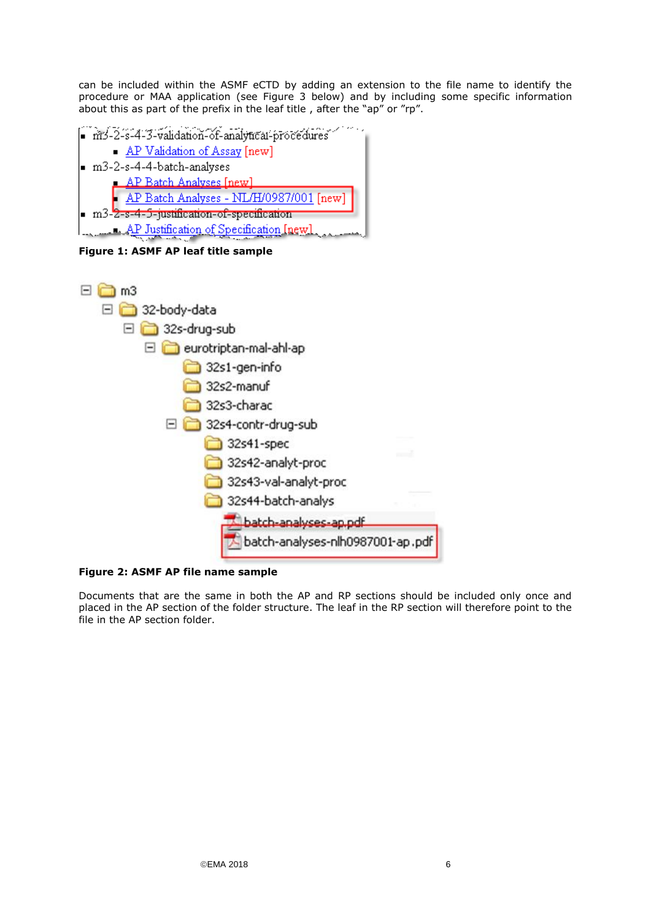can be included within the ASMF eCTD by adding an extension to the file name to identify the procedure or MAA application (see Figure 3 below) and by including some specific information about this as part of the prefix in the leaf title , after the "ap" or "rp".



**Figure 1: ASMF AP leaf title sample**



**Figure 2: ASMF AP file name sample**

Documents that are the same in both the AP and RP sections should be included only once and placed in the AP section of the folder structure. The leaf in the RP section will therefore point to the file in the AP section folder.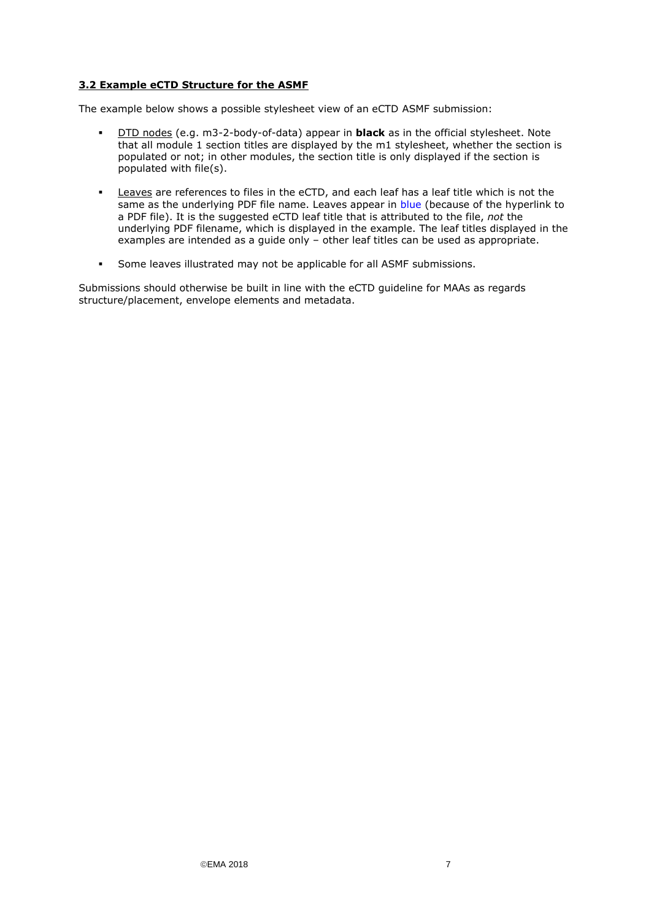### <span id="page-6-0"></span>**3.2 Example eCTD Structure for the ASMF**

The example below shows a possible stylesheet view of an eCTD ASMF submission:

- DTD nodes (e.g. m3-2-body-of-data) appear in **black** as in the official stylesheet. Note that all module 1 section titles are displayed by the m1 stylesheet, whether the section is populated or not; in other modules, the section title is only displayed if the section is populated with file(s).
- Leaves are references to files in the eCTD, and each leaf has a leaf title which is not the same as the underlying PDF file name. Leaves appear in blue (because of the hyperlink to a PDF file). It is the suggested eCTD leaf title that is attributed to the file, *not* the underlying PDF filename, which is displayed in the example. The leaf titles displayed in the examples are intended as a guide only – other leaf titles can be used as appropriate.
- Some leaves illustrated may not be applicable for all ASMF submissions.

Submissions should otherwise be built in line with the eCTD guideline for MAAs as regards structure/placement, envelope elements and metadata.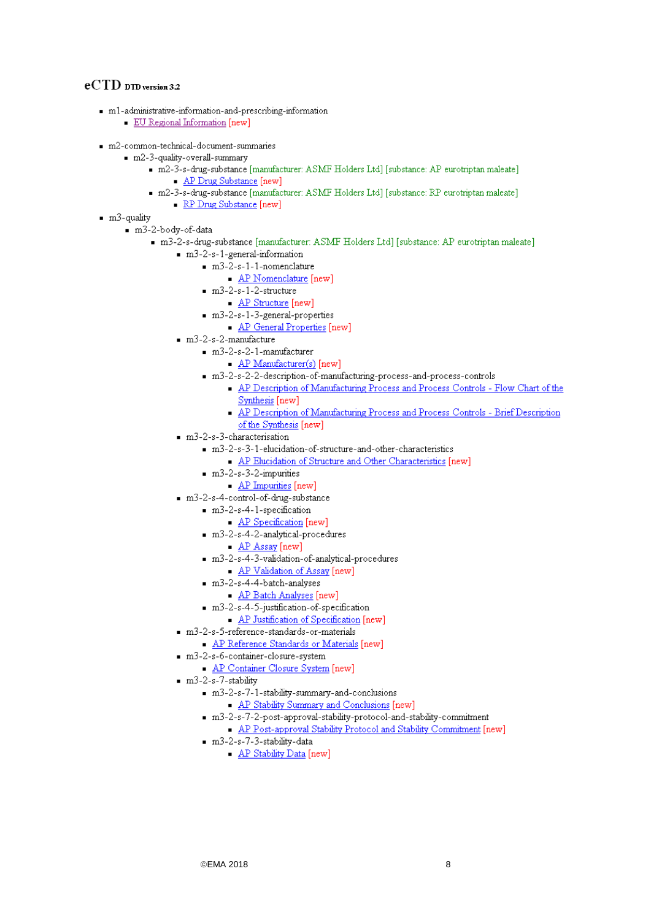## $eCTD$  DTD version 3.2

- $m1$ -administrative-information-and-prescribing-information
	- EU Regional Information [new]
- m2-common-technical-document-summaries
	- m2-3-quality-overall-summary
		- m2-3-s-drug-substance [manufacturer: ASMF Holders Ltd] [substance: AP eurotriptan maleate] AP Drug Substance [new]
		- m2-3-s-drug-substance [manufacturer: ASMF Holders Ltd] [substance: RP eurotriptan maleate] • RP Drug Substance [new]
- $m3$ -quality
	- $m3-2-body-of-data$ 
		- m3-2-s-drug-substance [manufacturer: ASMF Holders Ltd] [substance: AP eurotriptan maleate]
			- m3-2-s-1-general-information
				- $m3-2-s-1-1-nomenclature$ 
					- AP Nomenclature [new]
				- $m3-2-s-1-2-structure$ 
					- AP Structure [new]
				- m3-2-s-1-3-general-properties
					- AP General Properties [new]
			- $m3-2-s-2$ -manufacture
				- $m3-2-s-2-1$ -manufacturer
					- AP Manufacturer(s) [new]
				- m3-2-s-2-2-description-of-manufacturing-process-and-process-controls
					- AP Description of Manufacturing Process and Process Controls Flow Chart of the Synthesis [new]
					- AP Description of Manufacturing Process and Process Controls Brief Description
					- of the Synthesis [new]
			- m3-2-s-3-characterisation
				- m3-2-s-3-1-elucidation-of-structure-and-other-characteristics
					- AP Elucidation of Structure and Other Characteristics [new]
				- $m3-2-s-3-2-impurities$ 
					- AP Impurities [new]
			- m3-2-s-4-control-of-drug-substance
				- m3-2-s-4-1-specification
					- AP Specification [new]
				- m3-2-s-4-2-analytical-procedures
					- AP Assay [new]
				- m3-2-s-4-3-validation-of-analytical-procedures
					- AP Validation of Assay [new]
				- m3-2-s-4-4-batch-analyses
					- AP Batch Analyses [new]
				- m3-2-s-4-5-justification-of-specification
					- AP Justification of Specification [new]
			- m3-2-s-5-reference-standards-or-materials
				- AP Reference Standards or Materials [new]
			- m3-2-s-6-container-closure-system
				- AP Container Closure System [new]
			- $m3-2-s-7-stability$ 
				- m3-2-s-7-1-stability-summary-and-conclusions
					- AP Stability Summary and Conclusions [new]
				- m3-2-s-7-2-post-approval-stability-protocol-and-stability-commitment
					- AP Post-approval Stability Protocol and Stability Commitment [new]
				- m3-2-s-7-3-stability-data
					- AP Stability Data [new]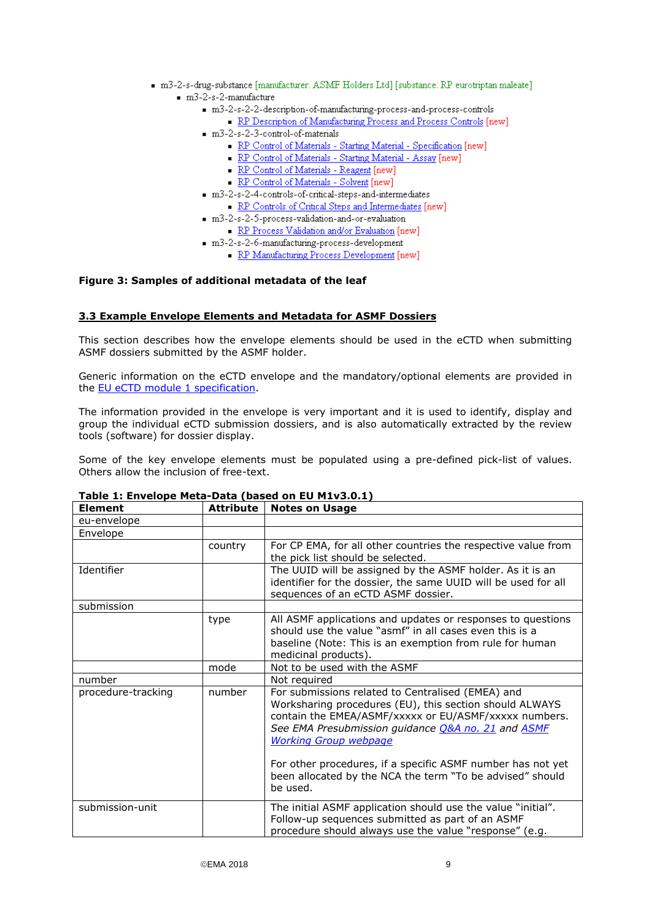- m3-2-s-drug-substance [manufacturer: ASMF Holders Ltd] [substance: RP eurotriptan maleate]  $m3-2-s-2$ -manufacture
	- m3-2-s-2-2-description-of-manufacturing-process-and-process-controls
	- RP Description of Manufacturing Process and Process Controls [new] m3-2-s-2-3-control-of-materials
		- RP Control of Materials Starting Material Specification [new]
		- RP Control of Materials Starting Material Assay [new]
		- RP Control of Materials Reagent [new]
		- RP Control of Materials Solvent [new]
	- m3-2-s-2-4-controls-of-critical-steps-and-intermediates
		- RP Controls of Critical Steps and Intermediates [new]
	- m3-2-s-2-5-process-validation-and-or-evaluation
		- RP Process Validation and/or Evaluation [new]
	- m3-2-s-2-6-manufacturing-process-development
		- RP Manufacturing Process Development [new]

### **Figure 3: Samples of additional metadata of the leaf**

### <span id="page-8-0"></span>**3.3 Example Envelope Elements and Metadata for ASMF Dossiers**

This section describes how the envelope elements should be used in the eCTD when submitting ASMF dossiers submitted by the ASMF holder.

Generic information on the eCTD envelope and the mandatory/optional elements are provided in the **EU** eCTD module 1 specification.

The information provided in the envelope is very important and it is used to identify, display and group the individual eCTD submission dossiers, and is also automatically extracted by the review tools (software) for dossier display.

Some of the key envelope elements must be populated using a pre-defined pick-list of values. Others allow the inclusion of free-text.

| <b>Element</b>     | <b>Attribute</b> | <b>Notes on Usage</b>                                                                                                                                                                                                                                       |
|--------------------|------------------|-------------------------------------------------------------------------------------------------------------------------------------------------------------------------------------------------------------------------------------------------------------|
| eu-envelope        |                  |                                                                                                                                                                                                                                                             |
| Envelope           |                  |                                                                                                                                                                                                                                                             |
|                    | country          | For CP EMA, for all other countries the respective value from<br>the pick list should be selected.                                                                                                                                                          |
| Identifier         |                  | The UUID will be assigned by the ASMF holder. As it is an<br>identifier for the dossier, the same UUID will be used for all<br>sequences of an eCTD ASMF dossier.                                                                                           |
| submission         |                  |                                                                                                                                                                                                                                                             |
|                    | type             | All ASMF applications and updates or responses to questions<br>should use the value "asmf" in all cases even this is a<br>baseline (Note: This is an exemption from rule for human<br>medicinal products).                                                  |
|                    | mode             | Not to be used with the ASMF                                                                                                                                                                                                                                |
| number             |                  | Not required                                                                                                                                                                                                                                                |
| procedure-tracking | number           | For submissions related to Centralised (EMEA) and<br>Worksharing procedures (EU), this section should ALWAYS<br>contain the EMEA/ASMF/xxxxx or EU/ASMF/xxxxx numbers.<br>See EMA Presubmission guidance O&A no. 21 and ASMF<br><b>Working Group webpage</b> |
|                    |                  | For other procedures, if a specific ASMF number has not yet<br>been allocated by the NCA the term "To be advised" should<br>be used.                                                                                                                        |
| submission-unit    |                  | The initial ASMF application should use the value "initial".<br>Follow-up sequences submitted as part of an ASMF<br>procedure should always use the value "response" (e.g.                                                                                  |

## **Table 1: Envelope Meta-Data (based on EU M1v3.0.1)**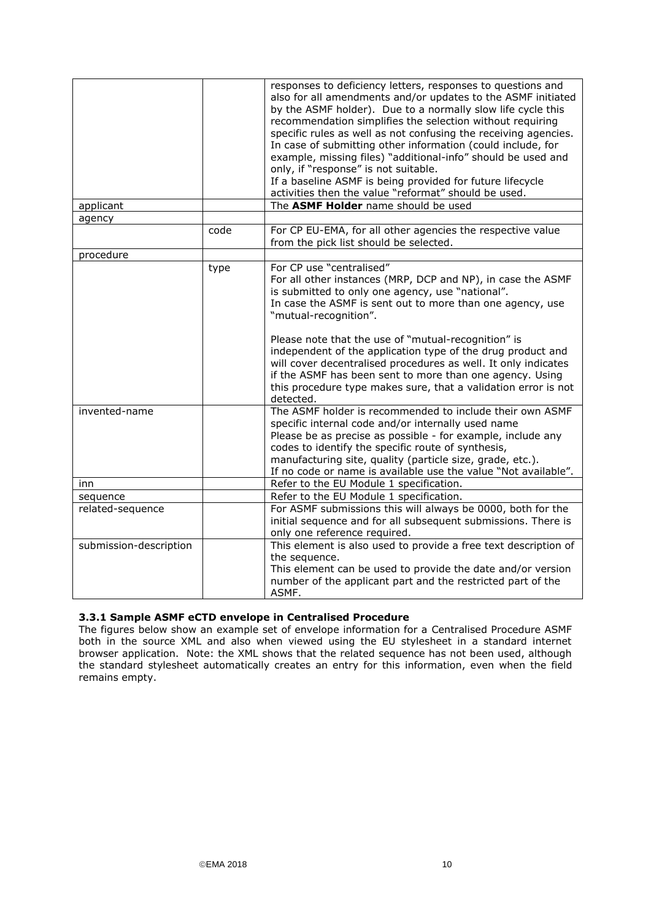|                        |      | responses to deficiency letters, responses to questions and<br>also for all amendments and/or updates to the ASMF initiated<br>by the ASMF holder). Due to a normally slow life cycle this<br>recommendation simplifies the selection without requiring<br>specific rules as well as not confusing the receiving agencies.<br>In case of submitting other information (could include, for<br>example, missing files) "additional-info" should be used and<br>only, if "response" is not suitable.<br>If a baseline ASMF is being provided for future lifecycle<br>activities then the value "reformat" should be used. |
|------------------------|------|------------------------------------------------------------------------------------------------------------------------------------------------------------------------------------------------------------------------------------------------------------------------------------------------------------------------------------------------------------------------------------------------------------------------------------------------------------------------------------------------------------------------------------------------------------------------------------------------------------------------|
| applicant              |      | The ASMF Holder name should be used                                                                                                                                                                                                                                                                                                                                                                                                                                                                                                                                                                                    |
| agency                 |      |                                                                                                                                                                                                                                                                                                                                                                                                                                                                                                                                                                                                                        |
|                        | code | For CP EU-EMA, for all other agencies the respective value<br>from the pick list should be selected.                                                                                                                                                                                                                                                                                                                                                                                                                                                                                                                   |
| procedure              |      |                                                                                                                                                                                                                                                                                                                                                                                                                                                                                                                                                                                                                        |
|                        | type | For CP use "centralised"<br>For all other instances (MRP, DCP and NP), in case the ASMF<br>is submitted to only one agency, use "national".<br>In case the ASMF is sent out to more than one agency, use<br>"mutual-recognition".<br>Please note that the use of "mutual-recognition" is<br>independent of the application type of the drug product and<br>will cover decentralised procedures as well. It only indicates<br>if the ASMF has been sent to more than one agency. Using<br>this procedure type makes sure, that a validation error is not                                                                |
|                        |      | detected.                                                                                                                                                                                                                                                                                                                                                                                                                                                                                                                                                                                                              |
| invented-name          |      | The ASMF holder is recommended to include their own ASMF<br>specific internal code and/or internally used name<br>Please be as precise as possible - for example, include any<br>codes to identify the specific route of synthesis,<br>manufacturing site, quality (particle size, grade, etc.).<br>If no code or name is available use the value "Not available".                                                                                                                                                                                                                                                     |
| inn                    |      | Refer to the EU Module 1 specification.                                                                                                                                                                                                                                                                                                                                                                                                                                                                                                                                                                                |
| sequence               |      | Refer to the EU Module 1 specification.                                                                                                                                                                                                                                                                                                                                                                                                                                                                                                                                                                                |
| related-sequence       |      | For ASMF submissions this will always be 0000, both for the<br>initial sequence and for all subsequent submissions. There is<br>only one reference required.                                                                                                                                                                                                                                                                                                                                                                                                                                                           |
| submission-description |      | This element is also used to provide a free text description of<br>the sequence.<br>This element can be used to provide the date and/or version<br>number of the applicant part and the restricted part of the<br>ASMF.                                                                                                                                                                                                                                                                                                                                                                                                |

### <span id="page-9-0"></span>**3.3.1 Sample ASMF eCTD envelope in Centralised Procedure**

The figures below show an example set of envelope information for a Centralised Procedure ASMF both in the source XML and also when viewed using the EU stylesheet in a standard internet browser application. Note: the XML shows that the related sequence has not been used, although the standard stylesheet automatically creates an entry for this information, even when the field remains empty.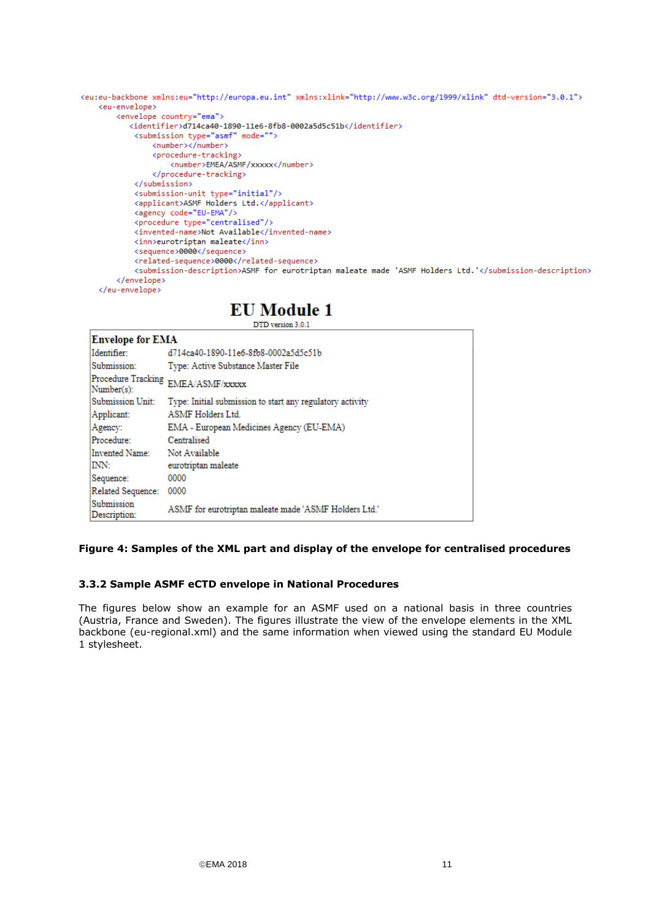```
<eu:eu-backbone xmlns:eu="http://europa.eu.int" xmlns:xlink="http://www.w3c.org/1999/xlink" dtd-version="3.0.1">
   <eu-envelope>
       <envelope country="ema">
          <identifier>d714ca40-1890-11e6-8fb8-0002a5d5c51b</identifier>
           <submission type="asmf" mode="">
               <number></number>
               <procedure-tracking>
                   <number>EMEA/ASMF/xxxxx</number>
               </procedure-tracking>
           </submission>
           <submission-unit type="initial"/>
           <applicant>ASMF Holders Ltd.</applicant>
           <agency code="EU-EMA"/>
           <invented-name>Not Available</invented-name>
           <inn>eurotriptan maleate</inn>
           <sequence>0000</sequence>
           <related-sequence>0000</related-sequence>
           <submission-description>ASMF for eurotriptan maleate made 'ASMF Holders Ltd.'</submission-description>
       </envelope>
   </eu-envelope>
```
## **EU** Module 1

 $\Box$ 

DTD version 3.0.1

| <b>Envelope for EMA</b>          |                                                           |  |  |
|----------------------------------|-----------------------------------------------------------|--|--|
| Identifier:                      | d714ca40-1890-11e6-8fb8-0002a5d5c51b                      |  |  |
| Submission:                      | Type: Active Substance Master File                        |  |  |
| Procedure Tracking<br>Number(s): | EMEA/ASMF/xxxxx                                           |  |  |
| Submission Unit:                 | Type: Initial submission to start any regulatory activity |  |  |
| Applicant:                       | <b>ASMF</b> Holders Ltd.                                  |  |  |
| Agency:                          | EMA - European Medicines Agency (EU-EMA)                  |  |  |
| Procedure:                       | Centralised                                               |  |  |
| Invented Name:                   | Not Available                                             |  |  |
| INN:                             | eurotriptan maleate                                       |  |  |
| Sequence:                        | 0000                                                      |  |  |
| Related Sequence:                | 0000                                                      |  |  |
| Submission<br>Description:       | ASMF for eurotriptan maleate made 'ASMF Holders Ltd.'     |  |  |

### **Figure 4: Samples of the XML part and display of the envelope for centralised procedures**

### <span id="page-10-0"></span>**3.3.2 Sample ASMF eCTD envelope in National Procedures**

The figures below show an example for an ASMF used on a national basis in three countries (Austria, France and Sweden). The figures illustrate the view of the envelope elements in the XML backbone (eu-regional.xml) and the same information when viewed using the standard EU Module 1 stylesheet.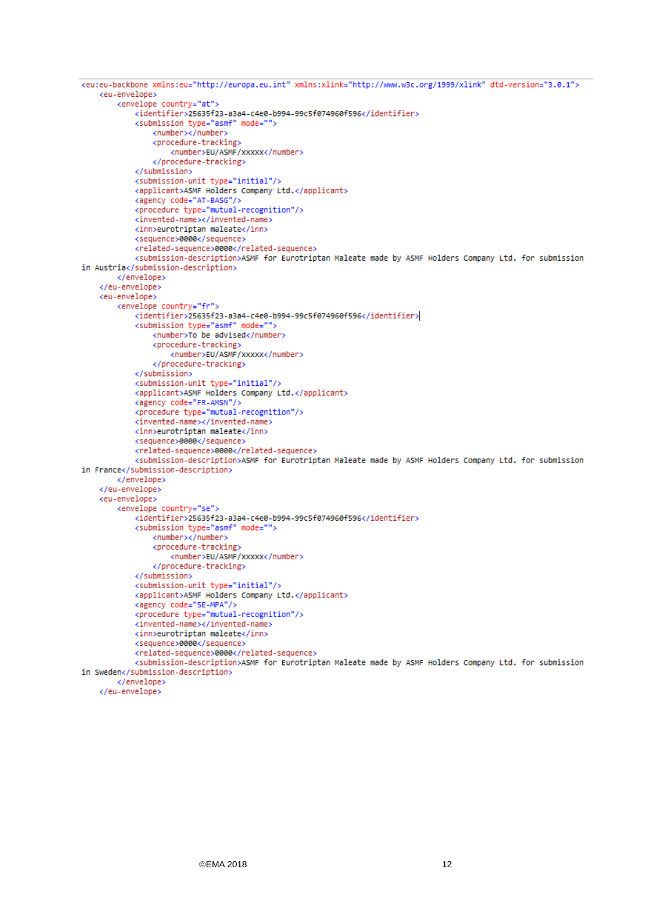```
<eu:eu-backbone xmlns:eu="http://europa.eu.int" xmlns:xlink="http://www.w3c.org/1999/xlink" dtd-version="3.0.1">
    <eu-envelope>
        <envelope country="at">
            <identifier>25635f23-a3a4-c4e0-b994-99c5f074960f596</identifier>
            <submission type="asmf" mode="">
                <number></number>
                <procedure-tracking>
                    <number>EU/ASMF/xxxxx</number>
                </procedure-tracking>
            </submission>
            <submission-unit type="initial"/>
            <applicant>ASMF Holders Company Ltd.</applicant>
            <agency code="AT-BASG"/>
            <procedure type="mutual-recognition"/>
            <invented-name></invented-name>
            <inn>eurotriptan maleate</inn>
            <sequence>0000</sequence>
            <related-sequence>0000</related-sequence>
            <submission-description>ASMF for Eurotriptan Maleate made by ASMF Holders Company Ltd. for submission
in Austria</submission-description>
        </envelope>
    </eu-envelope>
    <eu-envelope>
        <envelope country="fr">
            <identifier>25635f23-a3a4-c4e0-b994-99c5f074960f596</identifier>
            <submission type="asmf" mode="">
                <number>To be advised</number>
                <procedure-tracking>
                    <number>EU/ASMF/xxxxx</number>
                </procedure-tracking>
            </submission>
            <submission-unit type="initial"/>
            <applicant>ASMF Holders Company Ltd.</applicant>
            <agency code="FR-AMSN"/>
            <procedure type="mutual-recognition"/>
            <invented-name></invented-name>
            <inn>eurotriptan maleate</inn>
            <sequence>0000</sequence>
            <related-sequence>0000</related-sequence>
            <submission-description>ASMF for Eurotriptan Maleate made by ASMF Holders Company Ltd. for submission
in France</submission-description>
        </envelope>
    </eu-envelope>
    <eu-envelope>
        <envelope country="se">
            <identifier>25635f23-a3a4-c4e0-b994-99c5f074960f596</identifier>
            <submission type="asmf" mode="">
                <number></number>
                <procedure-tracking>
                    <number>EU/ASMF/xxxxx</number>
                </procedure-tracking>
            </submission>
            <submission-unit type="initial"/>
            <applicant>ASMF Holders Company Ltd.</applicant>
            <agency code="SE-MPA"/>
            <procedure type="mutual-recognition"/>
            <invented-name></invented-name>
            <inn>eurotriptan maleate</inn>
            <sequence>0000</sequence>
            <related-sequence>0000</related-sequence>
            <submission-description>ASMF for Eurotriptan Maleate made by ASMF Holders Company Ltd. for submission
in Sweden</submission-description>
        </envelope>
    </eu-envelope>
```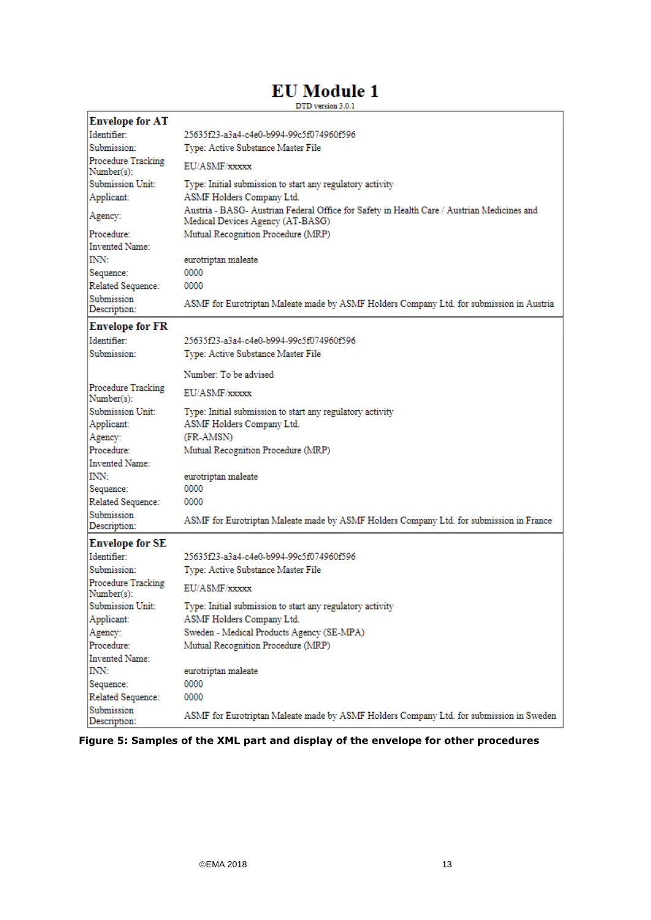# **EU** Module 1

 $\ensuremath{\mathrm{DTD}}$  version  $3.0.1$ 

| <b>Envelope for AT</b>           |                                                                                                                                |  |  |
|----------------------------------|--------------------------------------------------------------------------------------------------------------------------------|--|--|
| Identifier:                      | 25635f23-a3a4-c4e0-b994-99c5f074960f596                                                                                        |  |  |
| Submission:                      | Type: Active Substance Master File                                                                                             |  |  |
| Procedure Tracking<br>Number(s): | EU/ASMF/xxxxx                                                                                                                  |  |  |
| <b>Submission Unit:</b>          | Type: Initial submission to start any regulatory activity                                                                      |  |  |
| Applicant:                       | ASMF Holders Company Ltd.                                                                                                      |  |  |
| Agency:                          | Austria - BASG- Austrian Federal Office for Safety in Health Care / Austrian Medicines and<br>Medical Devices Agency (AT-BASG) |  |  |
| Procedure:                       | Mutual Recognition Procedure (MRP)                                                                                             |  |  |
| Invented Name:                   |                                                                                                                                |  |  |
| INN:                             | eurotriptan maleate                                                                                                            |  |  |
| Sequence:                        | 0000                                                                                                                           |  |  |
| Related Sequence:                | 0000                                                                                                                           |  |  |
| Submission<br>Description:       | ASMF for Eurotriptan Maleate made by ASMF Holders Company Ltd. for submission in Austria                                       |  |  |
| <b>Envelope for FR</b>           |                                                                                                                                |  |  |
| Identifier:                      | 25635f23-a3a4-c4e0-b994-99c5f074960f596                                                                                        |  |  |
| Submission:                      | Type: Active Substance Master File                                                                                             |  |  |
|                                  | Number: To be advised                                                                                                          |  |  |
| Procedure Tracking<br>Number(s): | EU/ASMF/xxxxx                                                                                                                  |  |  |
| Submission Unit:                 | Type: Initial submission to start any regulatory activity                                                                      |  |  |
| Applicant:                       | ASMF Holders Company Ltd.                                                                                                      |  |  |
| Agency:                          | (FR-AMSN)                                                                                                                      |  |  |
| Procedure:                       | Mutual Recognition Procedure (MRP)                                                                                             |  |  |
| Invented Name:                   |                                                                                                                                |  |  |
| <b>INN:</b>                      | eurotriptan maleate                                                                                                            |  |  |
| Sequence:                        | 0000                                                                                                                           |  |  |
| Related Sequence:                | 0000                                                                                                                           |  |  |
| Submission<br>Description:       | ASMF for Eurotriptan Maleate made by ASMF Holders Company Ltd. for submission in France                                        |  |  |
| <b>Envelope for SE</b>           |                                                                                                                                |  |  |
| Identifier:                      | 25635f23-a3a4-c4e0-b994-99c5f074960f596                                                                                        |  |  |
| Submission:                      | Type: Active Substance Master File                                                                                             |  |  |
| Procedure Tracking<br>Number(s): | EU/ASMF/xxxxx                                                                                                                  |  |  |
| <b>Submission Unit:</b>          | Type: Initial submission to start any regulatory activity                                                                      |  |  |
| Applicant:                       | ASMF Holders Company Ltd.                                                                                                      |  |  |
| Agency:                          | Sweden - Medical Products Agency (SE-MPA)                                                                                      |  |  |
| Procedure:                       | Mutual Recognition Procedure (MRP)                                                                                             |  |  |
| <b>Invented Name:</b>            |                                                                                                                                |  |  |
| INN:                             | eurotriptan maleate                                                                                                            |  |  |
| Sequence:                        | 0000                                                                                                                           |  |  |
| Related Sequence:                | 0000                                                                                                                           |  |  |
| Submission<br>Description:       | ASMF for Eurotriptan Maleate made by ASMF Holders Company Ltd. for submission in Sweden                                        |  |  |

**Figure 5: Samples of the XML part and display of the envelope for other procedures**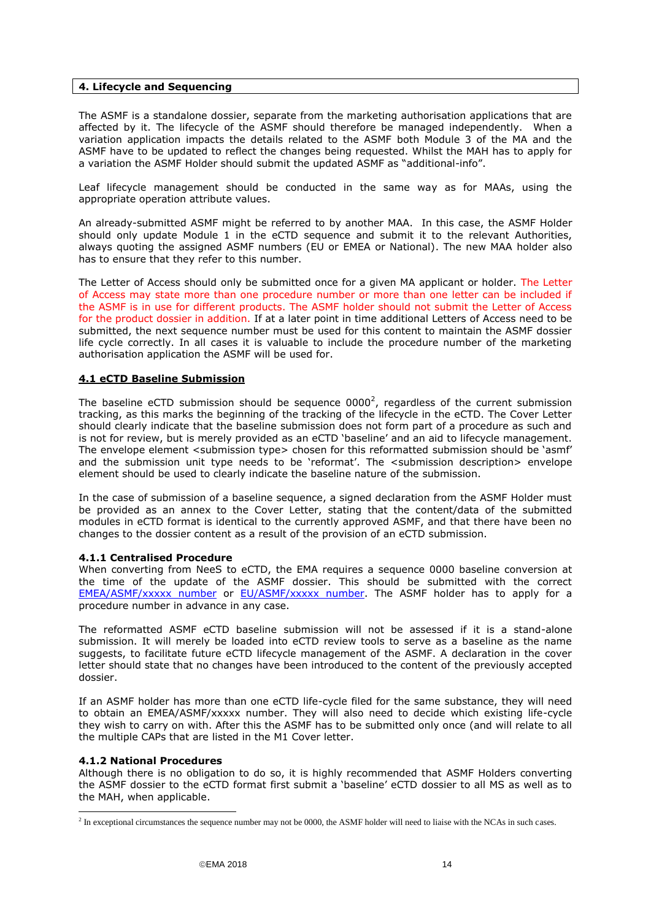### <span id="page-13-0"></span>**4. Lifecycle and Sequencing**

The ASMF is a standalone dossier, separate from the marketing authorisation applications that are affected by it. The lifecycle of the ASMF should therefore be managed independently. When a variation application impacts the details related to the ASMF both Module 3 of the MA and the ASMF have to be updated to reflect the changes being requested. Whilst the MAH has to apply for a variation the ASMF Holder should submit the updated ASMF as "additional-info".

Leaf lifecycle management should be conducted in the same way as for MAAs, using the appropriate operation attribute values.

An already-submitted ASMF might be referred to by another MAA. In this case, the ASMF Holder should only update Module 1 in the eCTD sequence and submit it to the relevant Authorities, always quoting the assigned ASMF numbers (EU or EMEA or National). The new MAA holder also has to ensure that they refer to this number.

The Letter of Access should only be submitted once for a given MA applicant or holder. The Letter of Access may state more than one procedure number or more than one letter can be included if the ASMF is in use for different products. The ASMF holder should not submit the Letter of Access for the product dossier in addition. If at a later point in time additional Letters of Access need to be submitted, the next sequence number must be used for this content to maintain the ASMF dossier life cycle correctly. In all cases it is valuable to include the procedure number of the marketing authorisation application the ASMF will be used for.

### <span id="page-13-1"></span>**4.1 eCTD Baseline Submission**

The baseline eCTD submission should be sequence  $0000<sup>2</sup>$ , regardless of the current submission tracking, as this marks the beginning of the tracking of the lifecycle in the eCTD. The Cover Letter should clearly indicate that the baseline submission does not form part of a procedure as such and is not for review, but is merely provided as an eCTD 'baseline' and an aid to lifecycle management. The envelope element <submission type> chosen for this reformatted submission should be 'asmf' and the submission unit type needs to be 'reformat'. The <submission description> envelope element should be used to clearly indicate the baseline nature of the submission.

In the case of submission of a baseline sequence, a signed declaration from the ASMF Holder must be provided as an annex to the Cover Letter, stating that the content/data of the submitted modules in eCTD format is identical to the currently approved ASMF, and that there have been no changes to the dossier content as a result of the provision of an eCTD submission.

### <span id="page-13-2"></span>**4.1.1 Centralised Procedure**

When converting from NeeS to eCTD, the EMA requires a sequence 0000 baseline conversion at the time of the update of the ASMF dossier. This should be submitted with the correct [EMEA/ASMF/xxxxx number](http://www.ema.europa.eu/docs/en_GB/document_library/Template_or_form/2013/08/WC500147835.doc) or [EU/ASMF/xxxxx](http://www.hma.eu/306.html) number. The ASMF holder has to apply for a procedure number in advance in any case.

The reformatted ASMF eCTD baseline submission will not be assessed if it is a stand-alone submission. It will merely be loaded into eCTD review tools to serve as a baseline as the name suggests, to facilitate future eCTD lifecycle management of the ASMF. A declaration in the cover letter should state that no changes have been introduced to the content of the previously accepted dossier.

If an ASMF holder has more than one eCTD life-cycle filed for the same substance, they will need to obtain an EMEA/ASMF/xxxxx number. They will also need to decide which existing life-cycle they wish to carry on with. After this the ASMF has to be submitted only once (and will relate to all the multiple CAPs that are listed in the M1 Cover letter.

### <span id="page-13-3"></span>**4.1.2 National Procedures**

-

Although there is no obligation to do so, it is highly recommended that ASMF Holders converting the ASMF dossier to the eCTD format first submit a 'baseline' eCTD dossier to all MS as well as to the MAH, when applicable.

<sup>&</sup>lt;sup>2</sup> In exceptional circumstances the sequence number may not be 0000, the ASMF holder will need to liaise with the NCAs in such cases.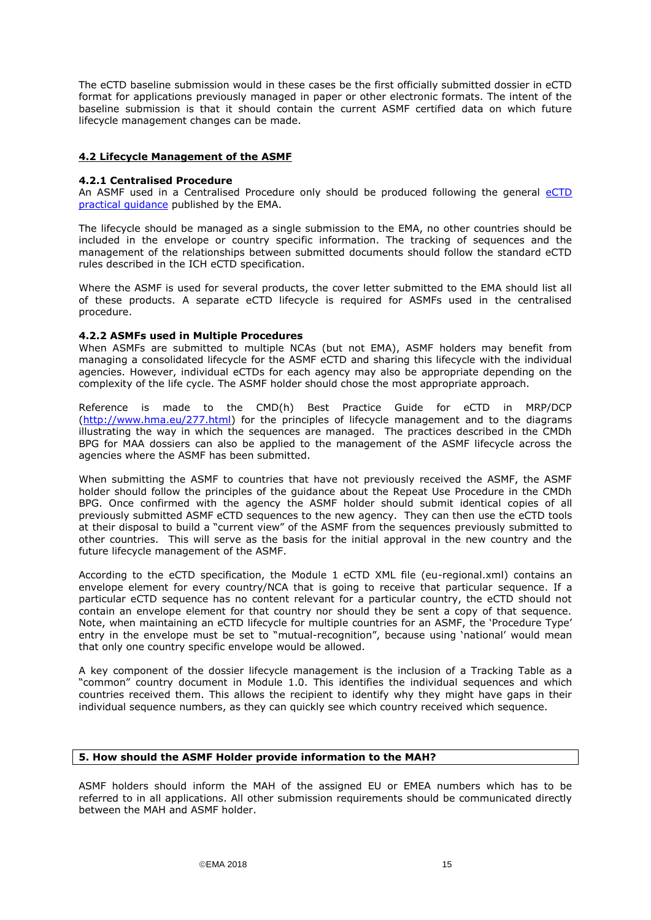The eCTD baseline submission would in these cases be the first officially submitted dossier in eCTD format for applications previously managed in paper or other electronic formats. The intent of the baseline submission is that it should contain the current ASMF certified data on which future lifecycle management changes can be made.

### <span id="page-14-0"></span>**4.2 Lifecycle Management of the ASMF**

### <span id="page-14-1"></span>**4.2.1 Centralised Procedure**

An ASMF used in a Centralised Procedure only should be produced following the general [eCTD](http://www.ema.europa.eu/docs/en_GB/document_library/Regulatory_and_procedural_guideline/2009/10/WC500004095.pdf)  [practical guidance](http://www.ema.europa.eu/docs/en_GB/document_library/Regulatory_and_procedural_guideline/2009/10/WC500004095.pdf) published by the EMA.

The lifecycle should be managed as a single submission to the EMA, no other countries should be included in the envelope or country specific information. The tracking of sequences and the management of the relationships between submitted documents should follow the standard eCTD rules described in the ICH eCTD specification.

Where the ASMF is used for several products, the cover letter submitted to the EMA should list all of these products. A separate eCTD lifecycle is required for ASMFs used in the centralised procedure.

### <span id="page-14-2"></span>**4.2.2 ASMFs used in Multiple Procedures**

When ASMFs are submitted to multiple NCAs (but not EMA), ASMF holders may benefit from managing a consolidated lifecycle for the ASMF eCTD and sharing this lifecycle with the individual agencies. However, individual eCTDs for each agency may also be appropriate depending on the complexity of the life cycle. The ASMF holder should chose the most appropriate approach.

Reference is made to the CMD(h) Best Practice Guide for eCTD in MRP/DCP [\(http://www.hma.eu/277.html\)](http://www.hma.eu/277.html) for the principles of lifecycle management and to the diagrams illustrating the way in which the sequences are managed. The practices described in the CMDh BPG for MAA dossiers can also be applied to the management of the ASMF lifecycle across the agencies where the ASMF has been submitted.

When submitting the ASMF to countries that have not previously received the ASMF, the ASMF holder should follow the principles of the guidance about the Repeat Use Procedure in the CMDh BPG. Once confirmed with the agency the ASMF holder should submit identical copies of all previously submitted ASMF eCTD sequences to the new agency. They can then use the eCTD tools at their disposal to build a "current view" of the ASMF from the sequences previously submitted to other countries. This will serve as the basis for the initial approval in the new country and the future lifecycle management of the ASMF.

According to the eCTD specification, the Module 1 eCTD XML file (eu-regional.xml) contains an envelope element for every country/NCA that is going to receive that particular sequence. If a particular eCTD sequence has no content relevant for a particular country, the eCTD should not contain an envelope element for that country nor should they be sent a copy of that sequence. Note, when maintaining an eCTD lifecycle for multiple countries for an ASMF, the 'Procedure Type' entry in the envelope must be set to "mutual-recognition", because using 'national' would mean that only one country specific envelope would be allowed.

A key component of the dossier lifecycle management is the inclusion of a Tracking Table as a "common" country document in Module 1.0. This identifies the individual sequences and which countries received them. This allows the recipient to identify why they might have gaps in their individual sequence numbers, as they can quickly see which country received which sequence.

### <span id="page-14-3"></span>**5. How should the ASMF Holder provide information to the MAH?**

ASMF holders should inform the MAH of the assigned EU or EMEA numbers which has to be referred to in all applications. All other submission requirements should be communicated directly between the MAH and ASMF holder.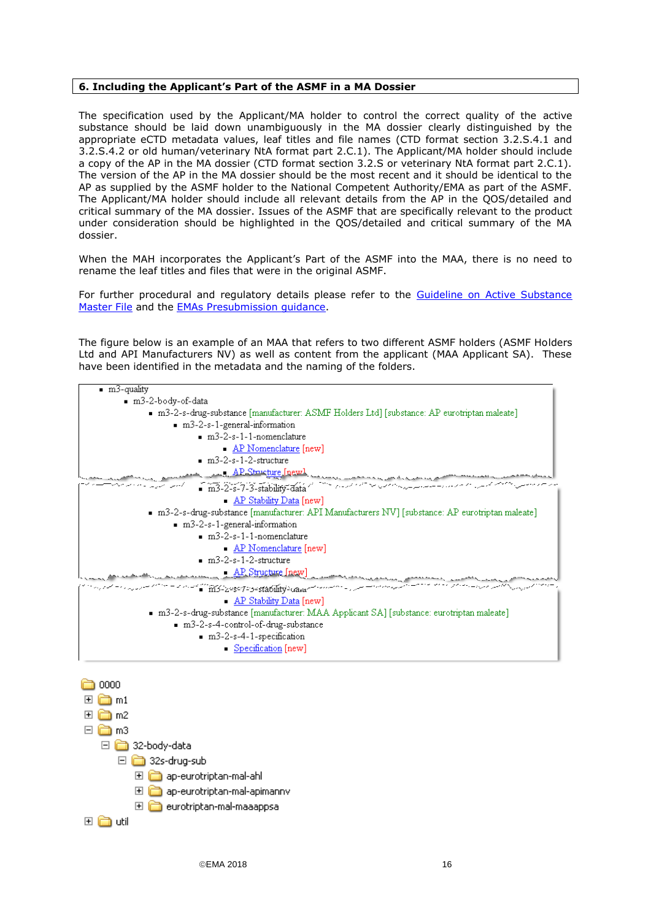### <span id="page-15-0"></span>**6. Including the Applicant's Part of the ASMF in a MA Dossier**

The specification used by the Applicant/MA holder to control the correct quality of the active substance should be laid down unambiguously in the MA dossier clearly distinguished by the appropriate eCTD metadata values, leaf titles and file names (CTD format section 3.2.S.4.1 and 3.2.S.4.2 or old human/veterinary NtA format part 2.C.1). The Applicant/MA holder should include a copy of the AP in the MA dossier (CTD format section 3.2.S or veterinary NtA format part 2.C.1). The version of the AP in the MA dossier should be the most recent and it should be identical to the AP as supplied by the ASMF holder to the National Competent Authority/EMA as part of the ASMF. The Applicant/MA holder should include all relevant details from the AP in the QOS/detailed and critical summary of the MA dossier. Issues of the ASMF that are specifically relevant to the product under consideration should be highlighted in the QOS/detailed and critical summary of the MA dossier.

When the MAH incorporates the Applicant's Part of the ASMF into the MAA, there is no need to rename the leaf titles and files that were in the original ASMF.

For further procedural and regulatory details please refer to the [Guideline on Active Substance](http://www.ema.europa.eu/docs/en_GB/document_library/Scientific_guideline/2012/07/WC500129994.pdf)  [Master File](http://www.ema.europa.eu/docs/en_GB/document_library/Scientific_guideline/2012/07/WC500129994.pdf) and the [EMAs Presubmission guidance.](http://www.ema.europa.eu/ema/index.jsp?curl=pages/regulation/q_and_a/q_and_a_detail_000167.jsp&mid=WC0b01ac0580b18196)

The figure below is an example of an MAA that refers to two different ASMF holders (ASMF Holders Ltd and API Manufacturers NV) as well as content from the applicant (MAA Applicant SA). These have been identified in the metadata and the naming of the folders.



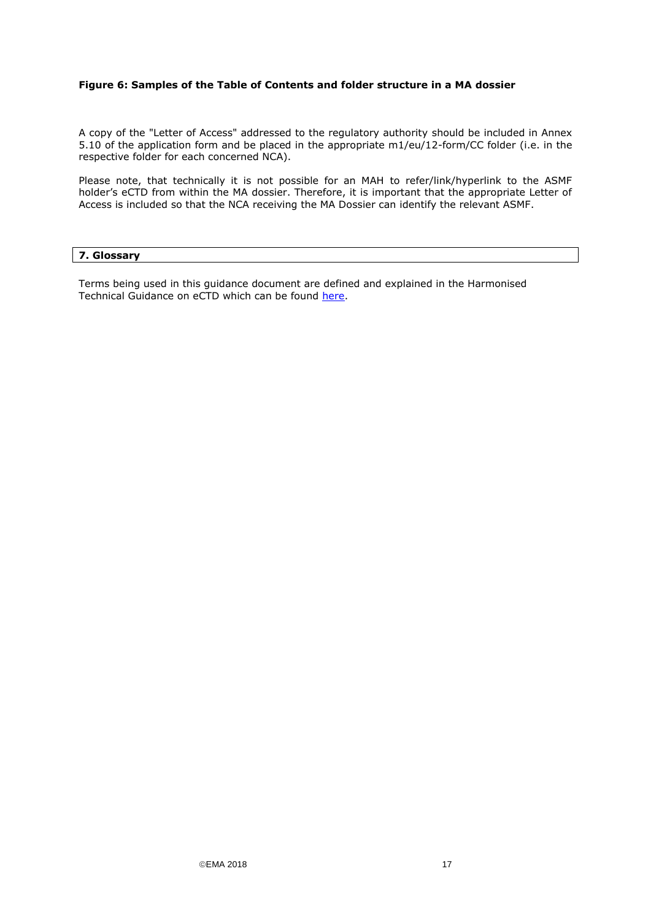### **Figure 6: Samples of the Table of Contents and folder structure in a MA dossier**

A copy of the "Letter of Access" addressed to the regulatory authority should be included in Annex 5.10 of the application form and be placed in the appropriate m1/eu/12-form/CC folder (i.e. in the respective folder for each concerned NCA).

Please note, that technically it is not possible for an MAH to refer/link/hyperlink to the ASMF holder's eCTD from within the MA dossier. Therefore, it is important that the appropriate Letter of Access is included so that the NCA receiving the MA Dossier can identify the relevant ASMF.

### <span id="page-16-0"></span>**7. Glossary**

Terms being used in this guidance document are defined and explained in the Harmonised Technical Guidance on eCTD which can be found [here.](http://esubmission.ema.europa.eu/tiges/cmbdocumentation.html)